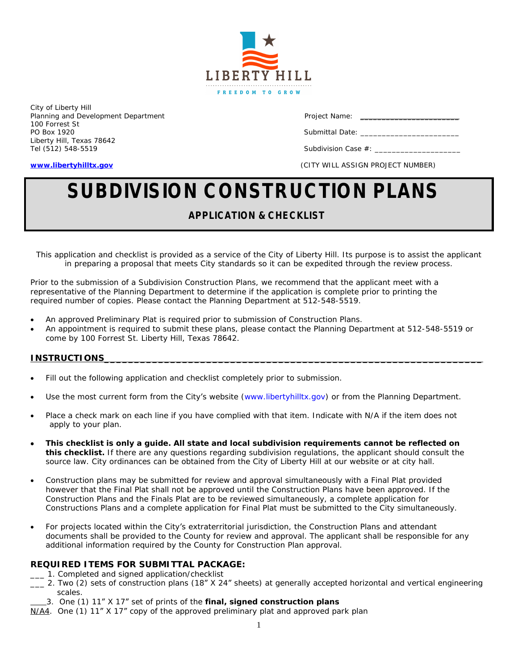

City of Liberty Hill Planning and Development Department **Project Name:** Project Name: \_\_\_\_\_\_\_\_\_\_\_\_\_\_\_\_ 100 Forrest St PO Box 1920 Submittal Date: \_\_\_\_\_\_\_\_\_\_\_\_\_\_\_\_\_\_\_\_\_\_\_ Liberty Hill, Texas 78642

Tel (512) 548-5519 Subdivision Case #: \_\_\_\_\_\_\_\_\_\_\_\_\_\_\_\_\_\_\_\_

**[www.libertyhilltx.gov](http://www.libertyhilltx.gov)** (CITY WILL ASSIGN PROJECT NUMBER)

# **SUBDIVISION CONSTRUCTION PLANS**

# *APPLICATION & CHECKLIST*

*This application and checklist is provided as a service of the City of Liberty Hill. Its purpose is to assist the applicant in preparing a proposal that meets City standards so it can be expedited through the review process.*

Prior to the submission of a Subdivision Construction Plans, we recommend that the applicant meet with a representative of the Planning Department to determine if the application is complete prior to printing the required number of copies. Please contact the Planning Department at 512-548-5519.

- An approved Preliminary Plat is required prior to submission of Construction Plans.
- An appointment is required to submit these plans, please contact the Planning Department at 512-548-5519 or come by 100 Forrest St. Liberty Hill, Texas 78642.

#### **INSTRUCTIONS\_\_\_\_\_\_\_\_\_\_\_\_\_\_\_\_\_\_\_\_\_\_\_\_\_\_\_\_\_\_\_\_\_\_\_\_\_\_\_\_\_\_\_\_\_\_\_\_\_\_\_\_\_\_\_\_\_\_\_\_\_\_\_**

- Fill out the following application and checklist completely prior to submission.
- Use the most current form from the City's website (www.libertyhilltx.gov) or from the Planning Department.
- Place a check mark on each line if you have complied with that item. Indicate with N/A if the item does not apply to your plan.
- *This checklist is only a guide. All state and local subdivision requirements cannot be reflected on this checklist.* If there are any questions regarding subdivision regulations, the applicant should consult the source law. City ordinances can be obtained from the City of Liberty Hill at our website or at city hall.
- Construction plans may be submitted for review and approval simultaneously with a Final Plat provided however that the Final Plat shall not be approved until the Construction Plans have been approved. If the Construction Plans and the Finals Plat are to be reviewed simultaneously, a complete application for Constructions Plans and a complete application for Final Plat must be submitted to the City simultaneously.
- For projects located within the City's extraterritorial jurisdiction, the Construction Plans and attendant documents shall be provided to the County for review and approval. The applicant shall be responsible for any additional information required by the County for Construction Plan approval.

# **REQUIRED ITEMS FOR SUBMITTAL PACKAGE:**

- \_\_\_ 1. Completed and signed application/checklist
- \_\_\_ 2. Two (2) sets of construction plans (18" X 24" sheets) at generally accepted horizontal and vertical engineering scales.
- 3. One (1) 11" X 17" set of prints of the **final, signed construction plans**
- N/A4. One (1) 11" X 17" copy of the approved preliminary plat and approved park plan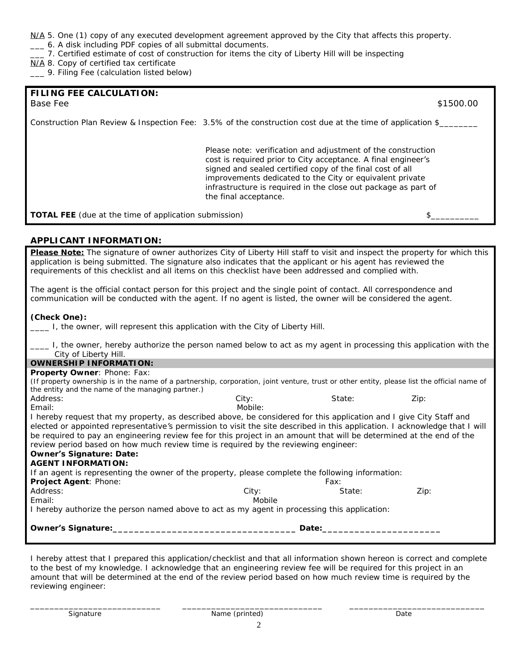# N/A 5. One (1) copy of any executed development agreement approved by the City that affects this property.

- \_\_\_ 6. A disk including PDF copies of all submittal documents.
- \_\_\_ 7. Certified estimate of cost of construction for items the city of Liberty Hill will be inspecting
- N/A 8. Copy of certified tax certificate
- \_\_\_ 9. Filing Fee (calculation listed below)

| FILING FEE CALCULATION:<br>Base Fee                          |                                                                                                                                                                                                                                                                                                                                                   | \$1500.00 |
|--------------------------------------------------------------|---------------------------------------------------------------------------------------------------------------------------------------------------------------------------------------------------------------------------------------------------------------------------------------------------------------------------------------------------|-----------|
|                                                              | Construction Plan Review & Inspection Fee: 3.5% of the construction cost due at the time of application \$                                                                                                                                                                                                                                        |           |
|                                                              | Please note: verification and adjustment of the construction<br>cost is required prior to City acceptance. A final engineer's<br>signed and sealed certified copy of the final cost of all<br>improvements dedicated to the City or equivalent private<br>infrastructure is required in the close out package as part of<br>the final acceptance. |           |
| <b>TOTAL FEE</b> (due at the time of application submission) |                                                                                                                                                                                                                                                                                                                                                   |           |

# **APPLICANT INFORMATION:**

**Please Note:** The signature of owner authorizes City of Liberty Hill staff to visit and inspect the property for which this application is being submitted. The signature also indicates that the applicant or his agent has reviewed the requirements of this checklist and all items on this checklist have been addressed and complied with.

The agent is the official contact person for this project and the single point of contact. All correspondence and communication will be conducted with the agent. If no agent is listed, the owner will be considered the agent.

#### **(Check One):**

*\_\_\_\_ I, the owner, will represent this application with the City of Liberty Hill.*

| I, the owner, hereby authorize the person named below to act as my agent in processing this application with the<br>City of Liberty Hill.   |         |        |      |  |  |  |
|---------------------------------------------------------------------------------------------------------------------------------------------|---------|--------|------|--|--|--|
| <b>OWNERSHIP INFORMATION:</b>                                                                                                               |         |        |      |  |  |  |
| <b>Property Owner: Phone: Fax:</b>                                                                                                          |         |        |      |  |  |  |
| (If property ownership is in the name of a partnership, corporation, joint venture, trust or other entity, please list the official name of |         |        |      |  |  |  |
| the entity and the name of the managing partner.)                                                                                           |         |        |      |  |  |  |
| Address:                                                                                                                                    | City:   | State: | Zip: |  |  |  |
| Email:                                                                                                                                      | Mobile: |        |      |  |  |  |
| I hereby request that my property, as described above, be considered for this application and I give City Staff and                         |         |        |      |  |  |  |
| elected or appointed representative's permission to visit the site described in this application. I acknowledge that I will                 |         |        |      |  |  |  |
| be required to pay an engineering review fee for this project in an amount that will be determined at the end of the                        |         |        |      |  |  |  |
| review period based on how much review time is required by the reviewing engineer:                                                          |         |        |      |  |  |  |
| <b>Owner's Signature: Date:</b>                                                                                                             |         |        |      |  |  |  |
| <b>AGENT INFORMATION:</b>                                                                                                                   |         |        |      |  |  |  |
| If an agent is representing the owner of the property, please complete the following information:                                           |         |        |      |  |  |  |
| Project Agent: Phone:                                                                                                                       |         | Fax:   |      |  |  |  |
| Address:                                                                                                                                    | City:   | State: | Zip: |  |  |  |
| Email:                                                                                                                                      | Mobile  |        |      |  |  |  |
| I hereby authorize the person named above to act as my agent in processing this application:                                                |         |        |      |  |  |  |
| Owner's Signature:                                                                                                                          |         | Date:  |      |  |  |  |
|                                                                                                                                             |         |        |      |  |  |  |

*I hereby attest that I prepared this application/checklist and that all information shown hereon is correct and complete to the best of my knowledge. I acknowledge that an engineering review fee will be required for this project in an amount that will be determined at the end of the review period based on how much review time is required by the reviewing engineer:*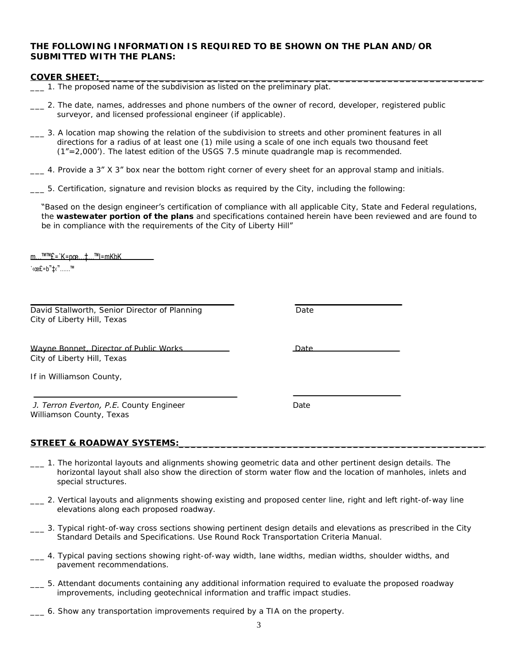# **THE FOLLOWING INFORMATION IS REQUIRED TO BE SHOWN ON THE PLAN AND/OR SUBMITTED WITH THE PLANS:**

#### **COVER SHEET:\_\_\_\_\_\_\_\_\_\_\_\_\_\_\_\_\_\_\_\_\_\_\_\_\_\_\_\_\_\_\_\_\_\_\_\_\_\_\_\_\_\_\_\_\_\_\_\_\_\_\_\_\_\_\_\_\_\_\_\_\_\_\_\_**

- \_\_\_ 1. The proposed name of the subdivision as listed on the preliminary plat.
- \_\_\_ 2. The date, names, addresses and phone numbers of the owner of record, developer, registered public surveyor, and licensed professional engineer (if applicable).
- \_\_\_ 3. A location map showing the relation of the subdivision to streets and other prominent features in all directions for a radius of at least one (1) mile using a scale of one inch equals two thousand feet (1"=2,000'). The latest edition of the USGS 7.5 minute quadrangle map is recommended.
- 4. Provide a 3" X 3" box near the bottom right corner of every sheet for an approval stamp and initials.
- \_\_\_ 5. Certification, signature and revision blocks as required by the City, including the following:

"Based on the design engineer's certification of compliance with all applicable City, State and Federal regulations, the **wastewater portion of the plans** and specifications contained herein have been reviewed and are found to be in compliance with the requirements of the City of Liberty Hill"

 $m...$ <sup>TMTM</sup> $E = K = n \times m$ .  $m \times m$ . TMI $= m$ KbK

 $C^{\infty}$ Ce£=b" $\downarrow$ c"......

*David Stallworth, Senior Director of Planning Date* **Date** City of Liberty *Hill, Texas*

| Wayne Bonnet, Director of Public Works | <u>Date</u> |
|----------------------------------------|-------------|
| City of Liberty Hill, Texas            |             |

If in Williamson County,

*J. Terron Everton, P.E. County Engineer County Engineer* Williamson County, Texas

#### STREET & ROADWAY SYSTEMS:

- \_\_\_ 1. The horizontal layouts and alignments showing geometric data and other pertinent design details. The horizontal layout shall also show the direction of storm water flow and the location of manholes, inlets and special structures.
- \_\_\_ 2. Vertical layouts and alignments showing existing and proposed center line, right and left right-of-way line elevations along each proposed roadway.
- \_\_\_ 3. Typical right-of-way cross sections showing pertinent design details and elevations as prescribed in the City Standard Details and Specifications. *Use Round Rock Transportation Criteria Manual.*
- \_\_\_ 4. Typical paving sections showing right-of-way width, lane widths, median widths, shoulder widths, and pavement recommendations.
- \_\_\_ 5. Attendant documents containing any additional information required to evaluate the proposed roadway improvements, including geotechnical information and traffic impact studies.
- \_\_\_ 6. Show any transportation improvements required by a TIA on the property.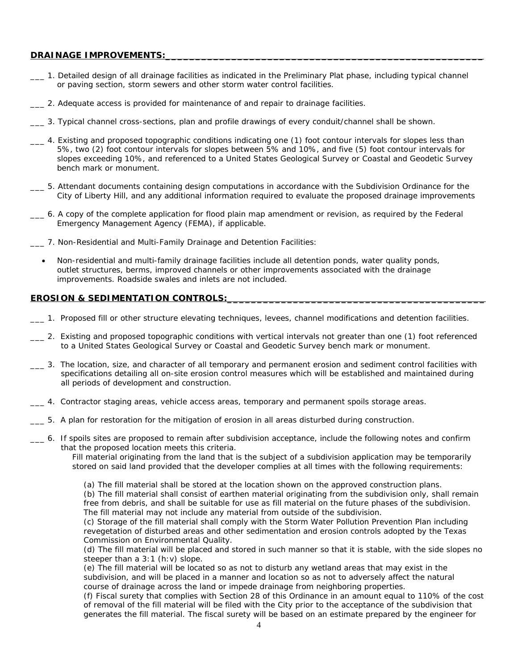# DRAINAGE IMPROVEMENTS:

- \_\_\_ 1. Detailed design of all drainage facilities as indicated in the Preliminary Plat phase, including typical channel or paving section, storm sewers and other storm water control facilities.
- \_\_\_ 2. Adequate access is provided for maintenance of and repair to drainage facilities.
- \_\_\_ 3. Typical channel cross-sections, plan and profile drawings of every conduit/channel shall be shown.
- \_\_\_ 4. Existing and proposed topographic conditions indicating one (1) foot contour intervals for slopes less than 5%, two (2) foot contour intervals for slopes between 5% and 10%, and five (5) foot contour intervals for slopes exceeding 10%, and referenced to a United States Geological Survey or Coastal and Geodetic Survey bench mark or monument.
- \_\_\_ 5. Attendant documents containing design computations in accordance with the Subdivision Ordinance for the City of Liberty Hill, and any additional information required to evaluate the proposed drainage improvements
- \_\_\_ 6. A copy of the complete application for flood plain map amendment or revision, as required by the Federal Emergency Management Agency (FEMA), if applicable.
- \_\_\_ 7. Non-Residential and Multi-Family Drainage and Detention Facilities:
	- Non-residential and multi-family drainage facilities include all detention ponds, water quality ponds, outlet structures, berms, improved channels or other improvements associated with the drainage improvements. Roadside swales and inlets are not included.

#### **EROSION & SEDIMENTATION CONTROLS:**

- \_\_\_ 1. Proposed fill or other structure elevating techniques, levees, channel modifications and detention facilities.
- \_\_\_ 2. Existing and proposed topographic conditions with vertical intervals not greater than one (1) foot referenced to a United States Geological Survey or Coastal and Geodetic Survey bench mark or monument.
- \_\_\_ 3. The location, size, and character of all temporary and permanent erosion and sediment control facilities with specifications detailing all on-site erosion control measures which will be established and maintained during all periods of development and construction.
- \_\_\_ 4. Contractor staging areas, vehicle access areas, temporary and permanent spoils storage areas.
- \_\_\_ 5. A plan for restoration for the mitigation of erosion in all areas disturbed during construction.
- \_\_\_ 6. If spoils sites are proposed to remain after subdivision acceptance, include the following notes and confirm that the proposed location meets this criteria.

Fill material originating from the land that is the subject of a subdivision application may be temporarily stored on said land provided that the developer complies at all times with the following requirements:

(a) The fill material shall be stored at the location shown on the approved construction plans.

(b) The fill material shall consist of earthen material originating from the subdivision only, shall remain free from debris, and shall be suitable for use as fill material on the future phases of the subdivision. The fill material may not include any material from outside of the subdivision.

(c) Storage of the fill material shall comply with the Storm Water Pollution Prevention Plan including revegetation of disturbed areas and other sedimentation and erosion controls adopted by the Texas Commission on Environmental Quality.

(d) The fill material will be placed and stored in such manner so that it is stable, with the side slopes no steeper than a 3:1 (h:v) slope.

(e) The fill material will be located so as not to disturb any wetland areas that may exist in the subdivision, and will be placed in a manner and location so as not to adversely affect the natural course of drainage across the land or impede drainage from neighboring properties.

(f) Fiscal surety that complies with Section 28 of this Ordinance in an amount equal to 110% of the cost of removal of the fill material will be filed with the City prior to the acceptance of the subdivision that generates the fill material. The fiscal surety will be based on an estimate prepared by the engineer for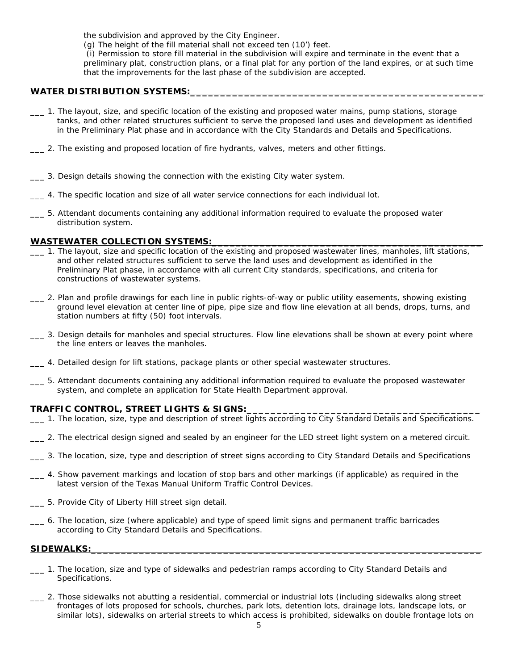the subdivision and approved by the City Engineer.

(g) The height of the fill material shall not exceed ten (10') feet.

(i) Permission to store fill material in the subdivision will expire and terminate in the event that a preliminary plat, construction plans, or a final plat for any portion of the land expires, or at such time that the improvements for the last phase of the subdivision are accepted.

# WATER DISTRIBUTION SYSTEMS:

- \_\_\_ 1. The layout, size, and specific location of the existing and proposed water mains, pump stations, storage tanks, and other related structures sufficient to serve the proposed land uses and development as identified in the Preliminary Plat phase and in accordance with the City Standards and Details and Specifications.
- \_\_\_ 2. The existing and proposed location of fire hydrants, valves, meters and other fittings.
- \_\_\_ 3. Design details showing the connection with the existing City water system.
- \_\_\_ 4. The specific location and size of all water service connections for each individual lot.
- \_\_\_ 5. Attendant documents containing any additional information required to evaluate the proposed water distribution system.

# WASTEWATER COLLECTION SYSTEMS:

- \_\_\_ 1. The layout, size and specific location of the existing and proposed wastewater lines, manholes, lift stations, and other related structures sufficient to serve the land uses and development as identified in the Preliminary Plat phase, in accordance with all current City standards, specifications, and criteria for constructions of wastewater systems.
- \_\_\_ 2. Plan and profile drawings for each line in public rights-of-way or public utility easements, showing existing ground level elevation at center line of pipe, pipe size and flow line elevation at all bends, drops, turns, and station numbers at fifty (50) foot intervals.
- \_\_\_ 3. Design details for manholes and special structures. Flow line elevations shall be shown at every point where the line enters or leaves the manholes.
- \_\_\_ 4. Detailed design for lift stations, package plants or other special wastewater structures.
- \_\_\_ 5. Attendant documents containing any additional information required to evaluate the proposed wastewater system, and complete an application for State Health Department approval.

#### **TRAFFIC CONTROL, STREET LIGHTS & SIGNS:\_\_\_\_\_\_\_\_\_\_\_\_\_\_\_\_\_\_\_\_\_\_\_\_\_\_\_\_\_\_\_\_\_\_\_\_\_\_\_**

- \_\_\_ 1. The location, size, type and description of street lights according to City Standard Details and Specifications.
- \_\_\_ 2. The electrical design signed and sealed by an engineer for the LED street light system on a metered circuit.
- \_\_\_ 3. The location, size, type and description of street signs according to City Standard Details and Specifications
- \_\_\_ 4. Show pavement markings and location of stop bars and other markings (if applicable) as required in the latest version of the Texas Manual Uniform Traffic Control Devices.
- \_\_\_ 5. Provide City of Liberty Hill street sign detail.
- \_\_\_ 6. The location, size (where applicable) and type of speed limit signs and permanent traffic barricades according to City Standard Details and Specifications.

#### SIDEWALKS:

- \_\_\_ 1. The location, size and type of sidewalks and pedestrian ramps according to City Standard Details and Specifications.
- \_\_\_ 2. Those sidewalks not abutting a residential, commercial or industrial lots (including sidewalks along street frontages of lots proposed for schools, churches, park lots, detention lots, drainage lots, landscape lots, or similar lots), sidewalks on arterial streets to which access is prohibited, sidewalks on double frontage lots on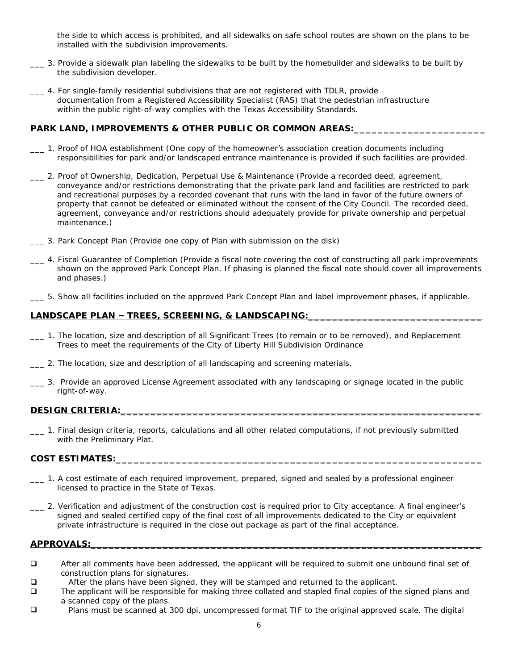the side to which access is prohibited, and all sidewalks on safe school routes are shown on the plans to be installed with the subdivision improvements.

- \_\_\_ 3. Provide a sidewalk plan labeling the sidewalks to be built by the homebuilder and sidewalks to be built by the subdivision developer.
- \_\_\_ 4. For single-family residential subdivisions that are not registered with TDLR, provide documentation from a Registered Accessibility Specialist (RAS) that the pedestrian infrastructure within the public right-of-way complies with the Texas Accessibility Standards.

# PARK LAND, IMPROVEMENTS & OTHER PUBLIC OR COMMON AREAS:

- \_\_\_ 1. Proof of HOA establishment (One copy of the homeowner's association creation documents including responsibilities for park and/or landscaped entrance maintenance is provided if such facilities are provided.
- \_\_\_ 2. Proof of Ownership, Dedication, Perpetual Use & Maintenance (Provide a recorded deed, agreement, conveyance and/or restrictions demonstrating that the private park land and facilities are restricted to park and recreational purposes by a recorded covenant that runs with the land in favor of the future owners of property that cannot be defeated or eliminated without the consent of the City Council. The recorded deed, agreement, conveyance and/or restrictions should adequately provide for private ownership and perpetual maintenance.)
- \_\_\_ 3. *Park Concept Plan* (Provide one copy of Plan with submission on the disk)
- \_\_\_ 4. Fiscal Guarantee of Completion (Provide a fiscal note covering the cost of constructing all park improvements shown on the approved *Park Concept Plan*. If phasing is planned the fiscal note should cover all improvements and phases.)
- \_\_\_ 5. Show all facilities included on the approved *Park Concept Plan* and label improvement phases, if applicable.

# LANDSCAPE PLAN - TREES, SCREENING, & LANDSCAPING:

- \_\_\_ 1. The location, size and description of all Significant Trees (to remain or to be removed), and Replacement Trees to meet the requirements of the City of Liberty Hill Subdivision Ordinance
- \_\_\_ 2. The location, size and description of all landscaping and screening materials.
- \_\_\_ 3. Provide an approved License Agreement associated with any landscaping or signage located in the public right-of-way.

#### **DESIGN CRITERIA:\_\_\_\_\_\_\_\_\_\_\_\_\_\_\_\_\_\_\_\_\_\_\_\_\_\_\_\_\_\_\_\_\_\_\_\_\_\_\_\_\_\_\_\_\_\_\_\_\_\_\_\_\_\_\_\_\_\_\_\_**

\_\_\_ 1. Final design criteria, reports, calculations and all other related computations, if not previously submitted with the Preliminary Plat.

#### **COST ESTIMATES:\_\_\_\_\_\_\_\_\_\_\_\_\_\_\_\_\_\_\_\_\_\_\_\_\_\_\_\_\_\_\_\_\_\_\_\_\_\_\_\_\_\_\_\_\_\_\_\_\_\_\_\_\_\_\_\_\_\_\_\_\_**

- \_\_\_ 1. A cost estimate of each required improvement, prepared, signed and sealed by a professional engineer licensed to practice in the State of Texas.
- \_\_\_ 2. Verification and adjustment of the construction cost is required prior to City acceptance. A final engineer's signed and sealed certified copy of the final cost of all improvements dedicated to the City or equivalent private infrastructure is required in the close out package as part of the final acceptance.

#### **APPROVALS:\_\_\_\_\_\_\_\_\_\_\_\_\_\_\_\_\_\_\_\_\_\_\_\_\_\_\_\_\_\_\_\_\_\_\_\_\_\_\_\_\_\_\_\_\_\_\_\_\_\_\_\_\_\_\_\_\_\_\_\_\_\_\_\_\_**

- **EXECUTE:** After all comments have been addressed, the applicant will be required to submit one unbound final set of construction plans for signatures.
- **Q** After the plans have been signed, they will be stamped and returned to the applicant.
- The applicant will be responsible for making three collated and stapled final copies of the signed plans and a scanned copy of the plans.
- Plans must be scanned at 300 dpi, uncompressed format TIF to the original approved scale. The digital